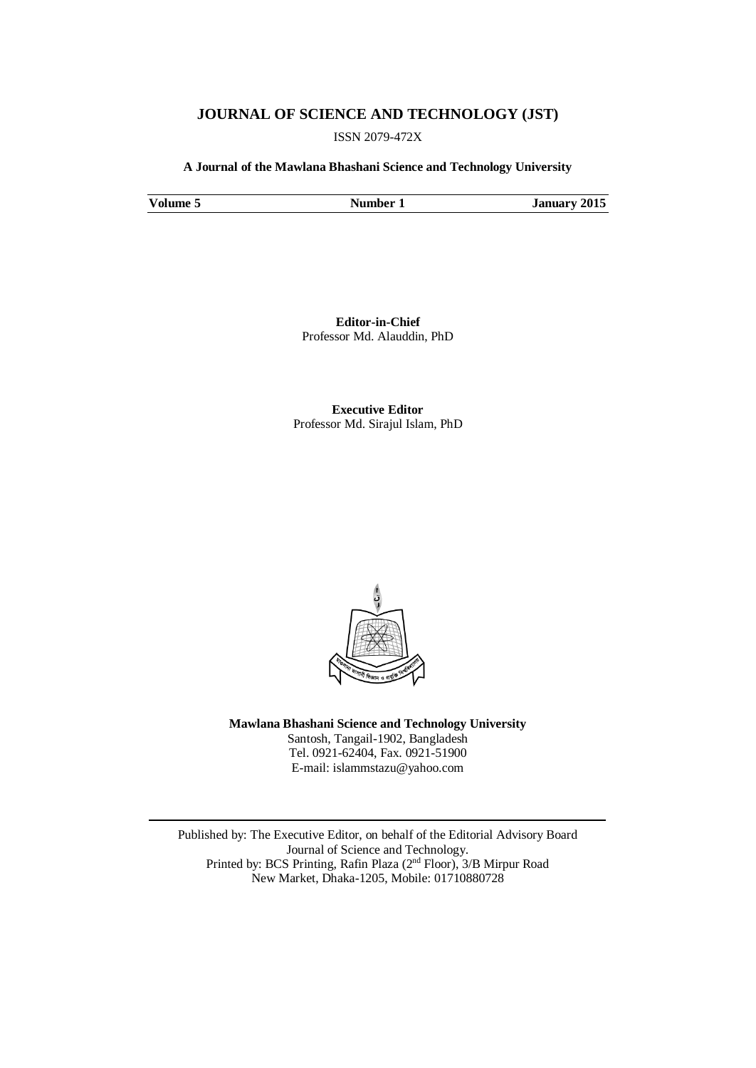## **JOURNAL OF SCIENCE AND TECHNOLOGY (JST)**

ISSN 2079-472X

**A Journal of the Mawlana Bhashani Science and Technology University**

**Volume 5 Number 1 January 2015** 

**Editor-in-Chief** Professor Md. Alauddin, PhD

**Executive Editor** Professor Md. Sirajul Islam, PhD



**Mawlana Bhashani Science and Technology University** Santosh, Tangail-1902, Bangladesh Tel. 0921-62404, Fax. 0921-51900 E-mail: [islammstazu@yahoo.com](mailto:oshin1996@yahoo.com)

Published by: The Executive Editor, on behalf of the Editorial Advisory Board Journal of Science and Technology. Printed by: BCS Printing, Rafin Plaza (2nd Floor), 3/B Mirpur Road New Market, Dhaka-1205, Mobile: 01710880728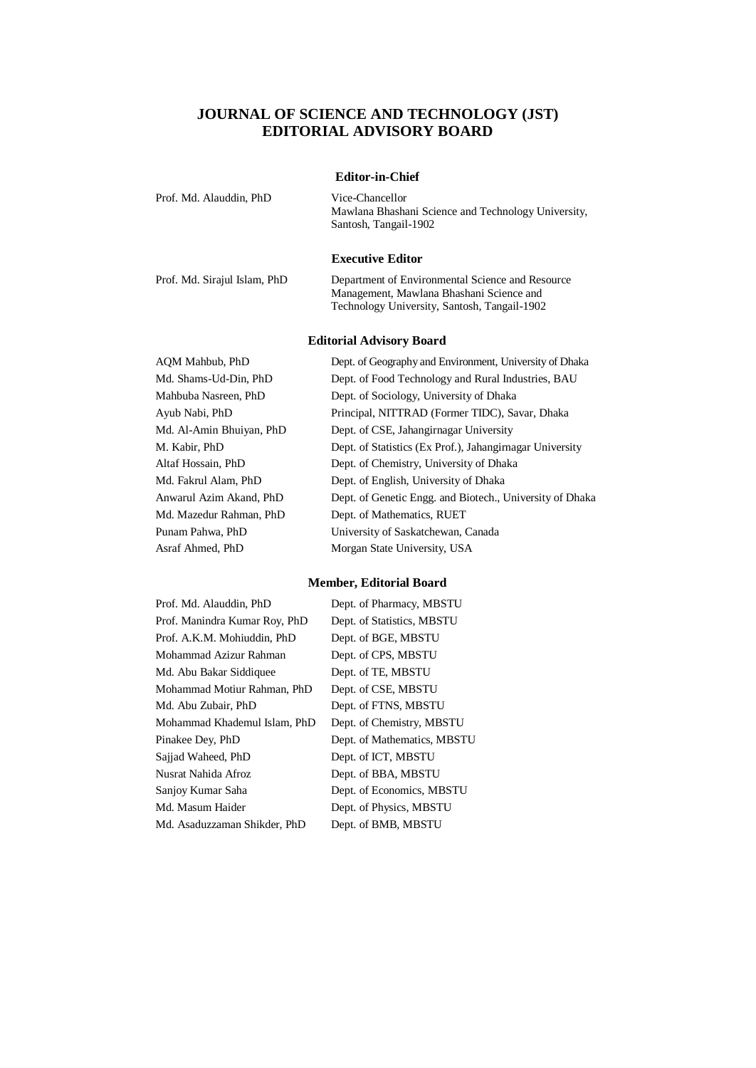## **JOURNAL OF SCIENCE AND TECHNOLOGY (JST) EDITORIAL ADVISORY BOARD**

| <b>Editor-in-Chief</b>       |                                                                                                                                              |  |  |
|------------------------------|----------------------------------------------------------------------------------------------------------------------------------------------|--|--|
| Prof. Md. Alauddin, PhD      | Vice-Chancellor<br>Mawlana Bhashani Science and Technology University,<br>Santosh, Tangail-1902                                              |  |  |
|                              | <b>Executive Editor</b>                                                                                                                      |  |  |
| Prof. Md. Sirajul Islam, PhD | Department of Environmental Science and Resource<br>Management, Mawlana Bhashani Science and<br>Technology University, Santosh, Tangail-1902 |  |  |

## **Editorial Advisory Board**

| AOM Mahbub, PhD          | Dept. of Geography and Environment, University of Dhaka  |
|--------------------------|----------------------------------------------------------|
| Md. Shams-Ud-Din, PhD    | Dept. of Food Technology and Rural Industries, BAU       |
| Mahbuba Nasreen, PhD     | Dept. of Sociology, University of Dhaka                  |
| Ayub Nabi, PhD           | Principal, NITTRAD (Former TIDC), Savar, Dhaka           |
| Md. Al-Amin Bhuiyan, PhD | Dept. of CSE, Jahangirnagar University                   |
| M. Kabir, PhD            | Dept. of Statistics (Ex Prof.), Jahangirnagar University |
| Altaf Hossain, PhD       | Dept. of Chemistry, University of Dhaka                  |
| Md. Fakrul Alam, PhD     | Dept. of English, University of Dhaka                    |
| Anwarul Azim Akand, PhD  | Dept. of Genetic Engg. and Biotech., University of Dhaka |
| Md. Mazedur Rahman, PhD  | Dept. of Mathematics, RUET                               |
| Punam Pahwa, PhD         | University of Saskatchewan, Canada                       |
| Asraf Ahmed, PhD         | Morgan State University, USA                             |

## **Member, Editorial Board**

| Prof. Md. Alauddin, PhD       | Dept. of Pharmacy, MBSTU    |
|-------------------------------|-----------------------------|
| Prof. Manindra Kumar Roy, PhD | Dept. of Statistics, MBSTU  |
| Prof. A.K.M. Mohiuddin, PhD   | Dept. of BGE, MBSTU         |
| Mohammad Azizur Rahman        | Dept. of CPS, MBSTU         |
| Md. Abu Bakar Siddiquee       | Dept. of TE, MBSTU          |
| Mohammad Motiur Rahman, PhD   | Dept. of CSE, MBSTU         |
| Md. Abu Zubair, PhD           | Dept. of FTNS, MBSTU        |
| Mohammad Khademul Islam, PhD  | Dept. of Chemistry, MBSTU   |
| Pinakee Dey, PhD              | Dept. of Mathematics, MBSTU |
| Sajjad Waheed, PhD            | Dept. of ICT, MBSTU         |
| Nusrat Nahida Afroz           | Dept. of BBA, MBSTU         |
| Sanjoy Kumar Saha             | Dept. of Economics, MBSTU   |
| Md. Masum Haider              | Dept. of Physics, MBSTU     |
| Md. Asaduzzaman Shikder, PhD  | Dept. of BMB, MBSTU         |
|                               |                             |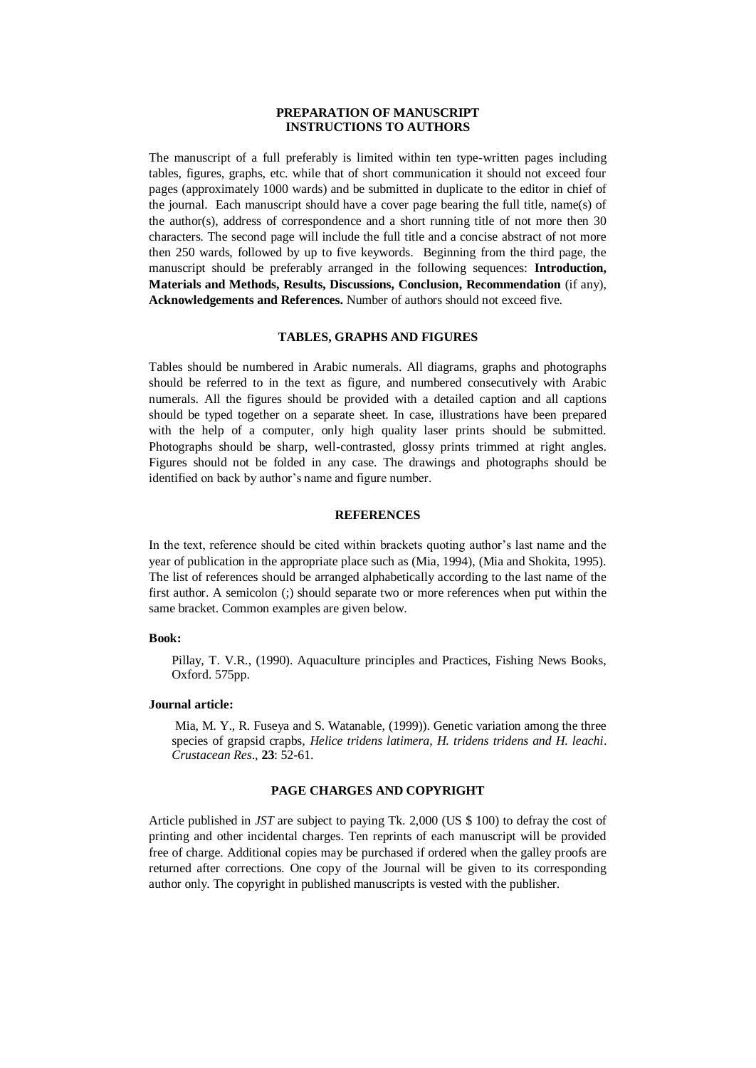#### **PREPARATION OF MANUSCRIPT INSTRUCTIONS TO AUTHORS**

The manuscript of a full preferably is limited within ten type-written pages including tables, figures, graphs, etc. while that of short communication it should not exceed four pages (approximately 1000 wards) and be submitted in duplicate to the editor in chief of the journal. Each manuscript should have a cover page bearing the full title, name(s) of the author(s), address of correspondence and a short running title of not more then 30 characters. The second page will include the full title and a concise abstract of not more then 250 wards, followed by up to five keywords. Beginning from the third page, the manuscript should be preferably arranged in the following sequences: **Introduction, Materials and Methods, Results, Discussions, Conclusion, Recommendation** (if any), **Acknowledgements and References.** Number of authors should not exceed five.

#### **TABLES, GRAPHS AND FIGURES**

Tables should be numbered in Arabic numerals. All diagrams, graphs and photographs should be referred to in the text as figure, and numbered consecutively with Arabic numerals. All the figures should be provided with a detailed caption and all captions should be typed together on a separate sheet. In case, illustrations have been prepared with the help of a computer, only high quality laser prints should be submitted. Photographs should be sharp, well-contrasted, glossy prints trimmed at right angles. Figures should not be folded in any case. The drawings and photographs should be identified on back by author's name and figure number.

#### **REFERENCES**

In the text, reference should be cited within brackets quoting author's last name and the year of publication in the appropriate place such as (Mia, 1994), (Mia and Shokita, 1995). The list of references should be arranged alphabetically according to the last name of the first author. A semicolon (;) should separate two or more references when put within the same bracket. Common examples are given below.

#### **Book:**

Pillay, T. V.R., (1990). Aquaculture principles and Practices, Fishing News Books, Oxford. 575pp.

#### **Journal article:**

Mia, M. Y., R. Fuseya and S. Watanable, (1999)). Genetic variation among the three species of grapsid crapbs*, Helice tridens latimera, H. tridens tridens and H. leachi*. *Crustacean Res*., **23**: 52-61.

## **PAGE CHARGES AND COPYRIGHT**

Article published in *JST* are subject to paying Tk. 2,000 (US \$ 100) to defray the cost of printing and other incidental charges. Ten reprints of each manuscript will be provided free of charge. Additional copies may be purchased if ordered when the galley proofs are returned after corrections. One copy of the Journal will be given to its corresponding author only. The copyright in published manuscripts is vested with the publisher.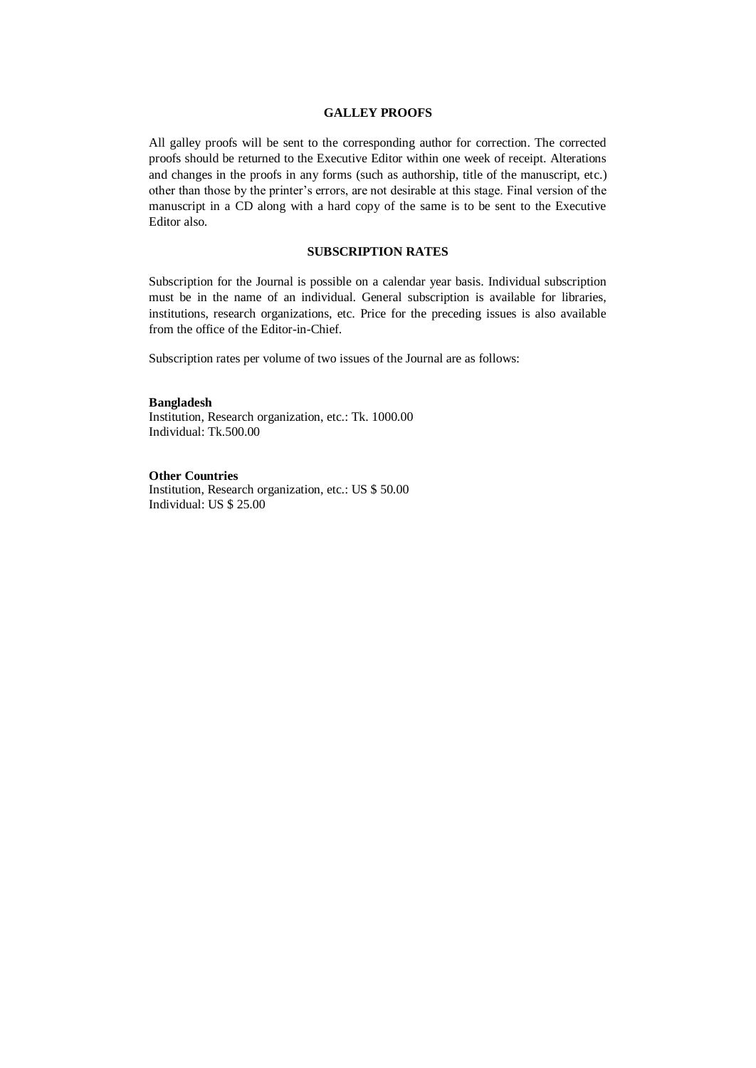#### **GALLEY PROOFS**

All galley proofs will be sent to the corresponding author for correction. The corrected proofs should be returned to the Executive Editor within one week of receipt. Alterations and changes in the proofs in any forms (such as authorship, title of the manuscript, etc.) other than those by the printer's errors, are not desirable at this stage. Final version of the manuscript in a CD along with a hard copy of the same is to be sent to the Executive Editor also.

## **SUBSCRIPTION RATES**

Subscription for the Journal is possible on a calendar year basis. Individual subscription must be in the name of an individual. General subscription is available for libraries, institutions, research organizations, etc. Price for the preceding issues is also available from the office of the Editor-in-Chief.

Subscription rates per volume of two issues of the Journal are as follows:

**Bangladesh** Institution, Research organization, etc.: Tk. 1000.00 Individual: Tk.500.00

**Other Countries** Institution, Research organization, etc.: US \$ 50.00 Individual: US \$ 25.00